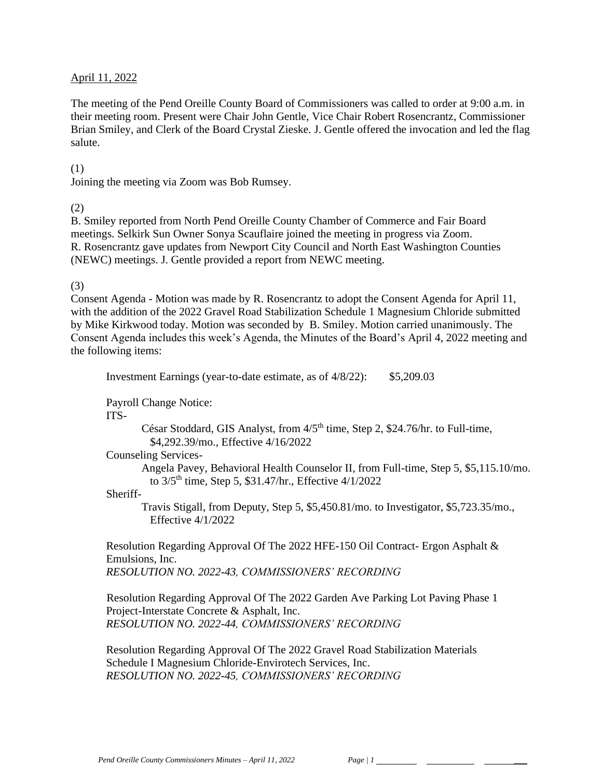### April 11, 2022

The meeting of the Pend Oreille County Board of Commissioners was called to order at 9:00 a.m. in their meeting room. Present were Chair John Gentle, Vice Chair Robert Rosencrantz, Commissioner Brian Smiley, and Clerk of the Board Crystal Zieske. J. Gentle offered the invocation and led the flag salute.

#### (1)

Joining the meeting via Zoom was Bob Rumsey.

#### (2)

B. Smiley reported from North Pend Oreille County Chamber of Commerce and Fair Board meetings. Selkirk Sun Owner Sonya Scauflaire joined the meeting in progress via Zoom. R. Rosencrantz gave updates from Newport City Council and North East Washington Counties (NEWC) meetings. J. Gentle provided a report from NEWC meeting.

### (3)

Consent Agenda - Motion was made by R. Rosencrantz to adopt the Consent Agenda for April 11, with the addition of the 2022 Gravel Road Stabilization Schedule 1 Magnesium Chloride submitted by Mike Kirkwood today. Motion was seconded by B. Smiley. Motion carried unanimously. The Consent Agenda includes this week's Agenda, the Minutes of the Board's April 4, 2022 meeting and the following items:

Investment Earnings (year-to-date estimate, as of 4/8/22): \$5,209.03

Payroll Change Notice:

ITS-

César Stoddard, GIS Analyst, from  $4/5<sup>th</sup>$  time, Step 2, \$24.76/hr. to Full-time, \$4,292.39/mo., Effective 4/16/2022

Counseling Services-

Angela Pavey, Behavioral Health Counselor II, from Full-time, Step 5, \$5,115.10/mo. to  $3/5$ <sup>th</sup> time, Step 5, \$31.47/hr., Effective  $4/1/2022$ 

#### Sheriff-

Travis Stigall, from Deputy, Step 5, \$5,450.81/mo. to Investigator, \$5,723.35/mo., Effective 4/1/2022

Resolution Regarding Approval Of The 2022 HFE-150 Oil Contract- Ergon Asphalt & Emulsions, Inc. *RESOLUTION NO. 2022-43, COMMISSIONERS' RECORDING* 

Resolution Regarding Approval Of The 2022 Garden Ave Parking Lot Paving Phase 1 Project-Interstate Concrete & Asphalt, Inc. *RESOLUTION NO. 2022-44, COMMISSIONERS' RECORDING* 

Resolution Regarding Approval Of The 2022 Gravel Road Stabilization Materials Schedule I Magnesium Chloride-Envirotech Services, Inc. *RESOLUTION NO. 2022-45, COMMISSIONERS' RECORDING*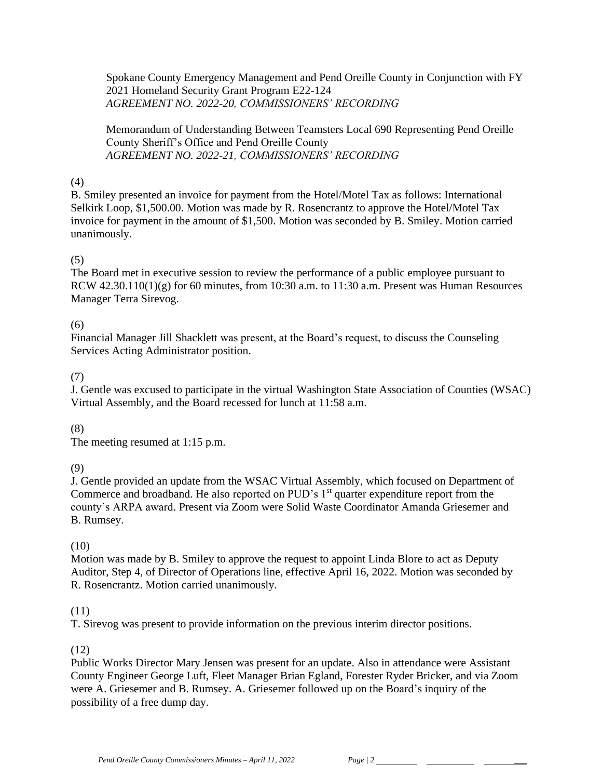Spokane County Emergency Management and Pend Oreille County in Conjunction with FY 2021 Homeland Security Grant Program E22-124 *AGREEMENT NO. 2022-20, COMMISSIONERS' RECORDING*

Memorandum of Understanding Between Teamsters Local 690 Representing Pend Oreille County Sheriff's Office and Pend Oreille County *AGREEMENT NO. 2022-21, COMMISSIONERS' RECORDING*

## (4)

B. Smiley presented an invoice for payment from the Hotel/Motel Tax as follows: International Selkirk Loop, \$1,500.00. Motion was made by R. Rosencrantz to approve the Hotel/Motel Tax invoice for payment in the amount of \$1,500. Motion was seconded by B. Smiley. Motion carried unanimously.

## (5)

The Board met in executive session to review the performance of a public employee pursuant to RCW  $42.30.110(1)(g)$  for 60 minutes, from 10:30 a.m. to 11:30 a.m. Present was Human Resources Manager Terra Sirevog.

## (6)

Financial Manager Jill Shacklett was present, at the Board's request, to discuss the Counseling Services Acting Administrator position.

## (7)

J. Gentle was excused to participate in the virtual Washington State Association of Counties (WSAC) Virtual Assembly, and the Board recessed for lunch at 11:58 a.m.

## (8)

The meeting resumed at 1:15 p.m.

#### (9)

J. Gentle provided an update from the WSAC Virtual Assembly, which focused on Department of Commerce and broadband. He also reported on PUD's 1<sup>st</sup> quarter expenditure report from the county's ARPA award. Present via Zoom were Solid Waste Coordinator Amanda Griesemer and B. Rumsey.

## (10)

Motion was made by B. Smiley to approve the request to appoint Linda Blore to act as Deputy Auditor, Step 4, of Director of Operations line, effective April 16, 2022. Motion was seconded by R. Rosencrantz. Motion carried unanimously.

## (11)

T. Sirevog was present to provide information on the previous interim director positions.

## (12)

Public Works Director Mary Jensen was present for an update. Also in attendance were Assistant County Engineer George Luft, Fleet Manager Brian Egland, Forester Ryder Bricker, and via Zoom were A. Griesemer and B. Rumsey. A. Griesemer followed up on the Board's inquiry of the possibility of a free dump day.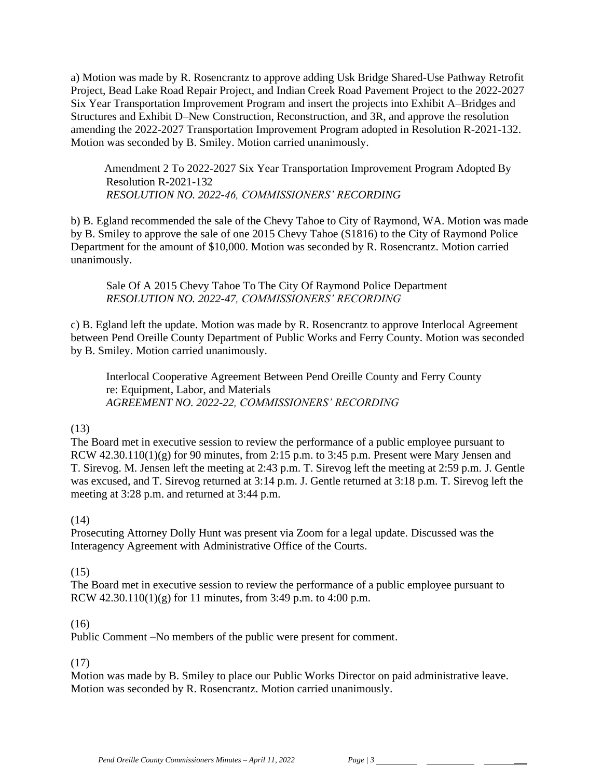a) Motion was made by R. Rosencrantz to approve adding Usk Bridge Shared-Use Pathway Retrofit Project, Bead Lake Road Repair Project, and Indian Creek Road Pavement Project to the 2022-2027 Six Year Transportation Improvement Program and insert the projects into Exhibit A–Bridges and Structures and Exhibit D–New Construction, Reconstruction, and 3R, and approve the resolution amending the 2022-2027 Transportation Improvement Program adopted in Resolution R-2021-132. Motion was seconded by B. Smiley. Motion carried unanimously.

 Amendment 2 To 2022-2027 Six Year Transportation Improvement Program Adopted By Resolution R-2021-132 *RESOLUTION NO. 2022-46, COMMISSIONERS' RECORDING*

b) B. Egland recommended the sale of the Chevy Tahoe to City of Raymond, WA. Motion was made by B. Smiley to approve the sale of one 2015 Chevy Tahoe (S1816) to the City of Raymond Police Department for the amount of \$10,000. Motion was seconded by R. Rosencrantz. Motion carried unanimously.

Sale Of A 2015 Chevy Tahoe To The City Of Raymond Police Department *RESOLUTION NO. 2022-47, COMMISSIONERS' RECORDING*

c) B. Egland left the update. Motion was made by R. Rosencrantz to approve Interlocal Agreement between Pend Oreille County Department of Public Works and Ferry County. Motion was seconded by B. Smiley. Motion carried unanimously.

Interlocal Cooperative Agreement Between Pend Oreille County and Ferry County re: Equipment, Labor, and Materials *AGREEMENT NO. 2022-22, COMMISSIONERS' RECORDING*

#### (13)

The Board met in executive session to review the performance of a public employee pursuant to RCW  $42.30.110(1)(g)$  for 90 minutes, from 2:15 p.m. to 3:45 p.m. Present were Mary Jensen and T. Sirevog. M. Jensen left the meeting at 2:43 p.m. T. Sirevog left the meeting at 2:59 p.m. J. Gentle was excused, and T. Sirevog returned at 3:14 p.m. J. Gentle returned at 3:18 p.m. T. Sirevog left the meeting at 3:28 p.m. and returned at 3:44 p.m.

## (14)

Prosecuting Attorney Dolly Hunt was present via Zoom for a legal update. Discussed was the Interagency Agreement with Administrative Office of the Courts.

## (15)

The Board met in executive session to review the performance of a public employee pursuant to RCW  $42.30.110(1)(g)$  for 11 minutes, from 3:49 p.m. to 4:00 p.m.

## (16)

Public Comment –No members of the public were present for comment.

## (17)

Motion was made by B. Smiley to place our Public Works Director on paid administrative leave. Motion was seconded by R. Rosencrantz. Motion carried unanimously.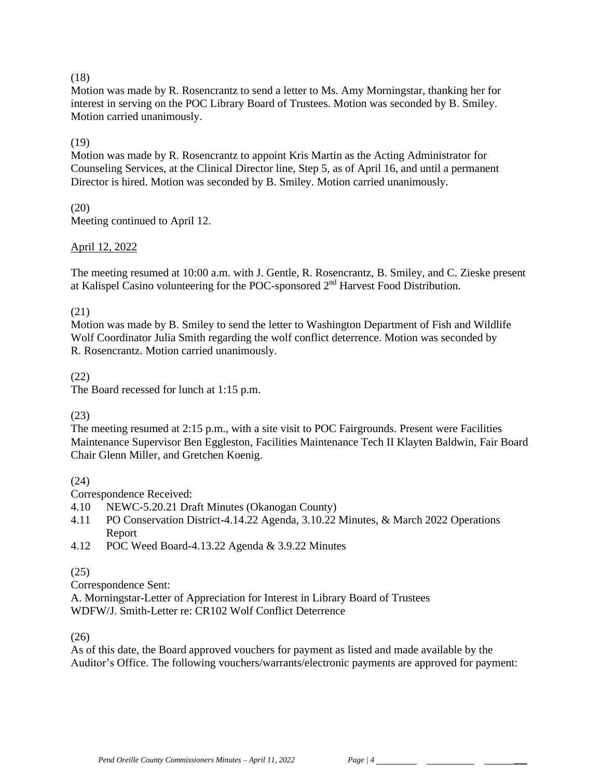## (18)

Motion was made by R. Rosencrantz to send a letter to Ms. Amy Morningstar, thanking her for interest in serving on the POC Library Board of Trustees. Motion was seconded by B. Smiley. Motion carried unanimously.

# (19)

Motion was made by R. Rosencrantz to appoint Kris Martin as the Acting Administrator for Counseling Services, at the Clinical Director line, Step 5, as of April 16, and until a permanent Director is hired. Motion was seconded by B. Smiley. Motion carried unanimously.

(20) Meeting continued to April 12.

## April 12, 2022

The meeting resumed at 10:00 a.m. with J. Gentle, R. Rosencrantz, B. Smiley, and C. Zieske present at Kalispel Casino volunteering for the POC-sponsored 2nd Harvest Food Distribution.

## (21)

Motion was made by B. Smiley to send the letter to Washington Department of Fish and Wildlife Wolf Coordinator Julia Smith regarding the wolf conflict deterrence. Motion was seconded by R. Rosencrantz. Motion carried unanimously.

## (22)

The Board recessed for lunch at 1:15 p.m.

## (23)

The meeting resumed at 2:15 p.m., with a site visit to POC Fairgrounds. Present were Facilities Maintenance Supervisor Ben Eggleston, Facilities Maintenance Tech II Klayten Baldwin, Fair Board Chair Glenn Miller, and Gretchen Koenig.

(24)

Correspondence Received:

- 4.10 NEWC-5.20.21 Draft Minutes (Okanogan County)
- 4.11 PO Conservation District-4.14.22 Agenda, 3.10.22 Minutes, & March 2022 Operations Report
- 4.12 POC Weed Board-4.13.22 Agenda & 3.9.22 Minutes

# (25)

Correspondence Sent:

A. Morningstar-Letter of Appreciation for Interest in Library Board of Trustees WDFW/J. Smith-Letter re: CR102 Wolf Conflict Deterrence

(26)

As of this date, the Board approved vouchers for payment as listed and made available by the Auditor's Office. The following vouchers/warrants/electronic payments are approved for payment: